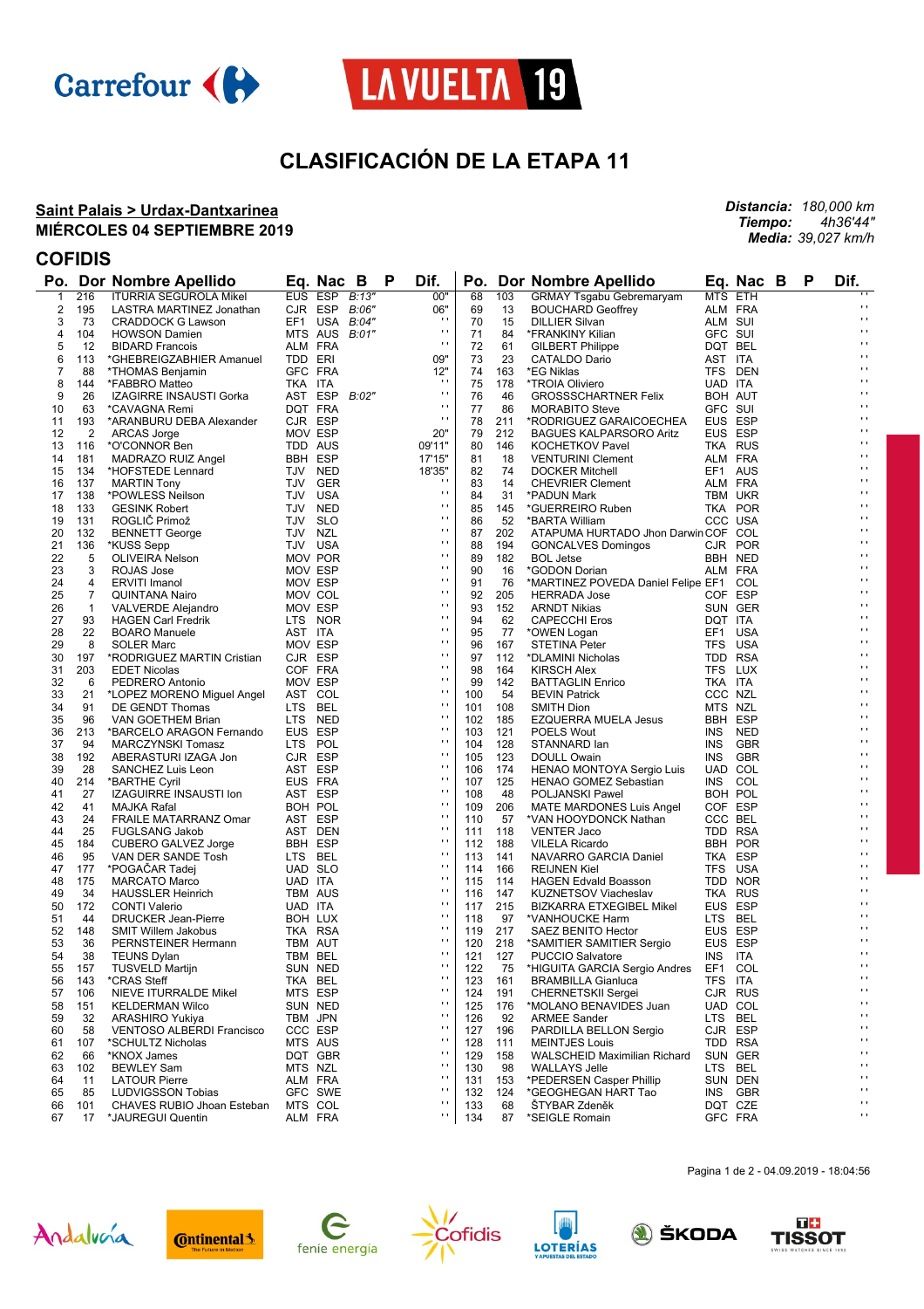



# **CLASIFICACIÓN DE LA ETAPA 11**

#### **Saint Palais > Urdax-Dantxarinea MIÉRCOLES 04 SEPTIEMBRE 2019**

*Distancia: 180,000 km Tiempo: 4h36'44" Media: 39,027 km/h*

### **COFIDIS**

| Po.          |              | Dor Nombre Apellido              |         | B<br>Eq. Nac       |       | P | Dif.               | Po. |     | Dor Nombre Apellido                    |         | Eq. Nac B          | P | Dif.                |
|--------------|--------------|----------------------------------|---------|--------------------|-------|---|--------------------|-----|-----|----------------------------------------|---------|--------------------|---|---------------------|
| $\mathbf{1}$ | 216          | <b>ITURRIA SEGUROLA Mikel</b>    |         | EUS ESP            | B:13" |   | 00"                | 68  | 103 | <b>GRMAY Tsgabu Gebremaryam</b>        |         | MTS ETH            |   |                     |
| 2            | 195          | LASTRA MARTINEZ Jonathan         |         | CJR ESP B:06"      |       |   | 06"                | 69  | 13  | <b>BOUCHARD Geoffrey</b>               |         | ALM FRA            |   | $\cdot$             |
| 3            | 73           | <b>CRADDOCK G Lawson</b>         |         | EF1 USA B:04"      |       |   | $\mathbf{r}$       | 70  | 15  | <b>DILLIER Silvan</b>                  | ALM SUI |                    |   | $\mathbf{r}$        |
| 4            | 104          | <b>HOWSON Damien</b>             |         | MTS AUS B:01"      |       |   | $\mathbf{r}$       | 71  | 84  | *FRANKINY Kilian                       | GFC SUI |                    |   | $\mathbf{r}$        |
| 5            | 12           | <b>BIDARD Francois</b>           |         | ALM FRA            |       |   | $\cdot$            | 72  | 61  | <b>GILBERT Philippe</b>                |         | DQT BEL            |   | $\mathbf{r}$        |
| 6            | 113          | *GHEBREIGZABHIER Amanuel         | TDD ERI |                    |       |   | 09"                | 73  | 23  | CATALDO Dario                          | AST ITA |                    |   | $\blacksquare$      |
| 7            | 88           | *THOMAS Benjamin                 |         | GFC FRA            |       |   | 12"                | 74  | 163 | *EG Niklas                             |         | TFS DEN            |   | $\blacksquare$      |
| 8            | 144          | *FABBRO Matteo                   | TKA ITA |                    |       |   | $\mathbf{r}$       | 75  | 178 | *TROIA Oliviero                        | UAD ITA |                    |   | $\blacksquare$      |
| 9            | 26           | IZAGIRRE INSAUSTI Gorka          |         | AST ESP            | B:02" |   | $\mathbf{r}$       | 76  | 46  | <b>GROSSSCHARTNER Felix</b>            |         | BOH AUT            |   | $\cdot$             |
| 10           | 63           | *CAVAGNA Remi                    |         | DQT FRA            |       |   | $\cdot$            | 77  | 86  | <b>MORABITO Steve</b>                  | GFC SUI |                    |   | $\blacksquare$      |
| 11           | 193          | *ARANBURU DEBA Alexander         |         | CJR ESP            |       |   | $\cdot$            | 78  | 211 | *RODRIGUEZ GARAICOECHEA                |         | EUS ESP            |   | $\blacksquare$      |
| 12           | 2            | ARCAS Jorge                      |         | MOV ESP            |       |   | 20"                | 79  | 212 | <b>BAGUES KALPARSORO Aritz</b>         |         | EUS ESP            |   | $\cdot$             |
| 13           | 116          | *O'CONNOR Ben                    |         | TDD AUS            |       |   | 09'11"             | 80  | 146 | <b>KOCHETKOV Pavel</b>                 |         | <b>TKA RUS</b>     |   | $\blacksquare$      |
| 14           | 181          |                                  |         | <b>BBH ESP</b>     |       |   | 17'15"             | 81  | 18  |                                        |         |                    |   | $\mathbf{r}$        |
|              |              | MADRAZO RUIZ Angel               |         |                    |       |   |                    |     | 74  | <b>VENTURINI Clement</b>               |         | ALM FRA<br>EF1 AUS |   | $\blacksquare$      |
| 15           | 134          | *HOFSTEDE Lennard                |         | TJV NED            |       |   | 18'35"<br>$\cdots$ | 82  |     | <b>DOCKER Mitchell</b>                 |         |                    |   | $\blacksquare$      |
| 16           | 137          | <b>MARTIN Tony</b>               |         | TJV GER            |       |   | $\blacksquare$     | 83  | 14  | <b>CHEVRIER Clement</b>                |         | ALM FRA            |   | $\blacksquare$      |
| 17           | 138          | *POWLESS Neilson                 |         | TJV USA            |       |   | $\mathbf{r}$       | 84  | 31  | *PADUN Mark                            |         | TBM UKR            |   | $\cdot$             |
| 18           | 133          | <b>GESINK Robert</b>             |         | TJV NED            |       |   | $\blacksquare$     | 85  | 145 | *GUERREIRO Ruben                       |         | TKA POR            |   | $\blacksquare$      |
| 19           | 131          | ROGLIĆ Primož                    |         | TJV SLO            |       |   | .,                 | 86  | 52  | *BARTA William                         |         | CCC USA            |   | $\blacksquare$      |
| 20           | 132          | <b>BENNETT George</b>            | TJV NZL |                    |       |   | $\blacksquare$     | 87  | 202 | ATAPUMA HURTADO Jhon Darwin COF COL    |         |                    |   | $\cdot$             |
| 21           | 136          | *KUSS Sepp                       |         | TJV USA            |       |   | $\cdots$           | 88  | 194 | <b>GONCALVES Domingos</b>              |         | CJR POR            |   | $\blacksquare$      |
| 22           | 5            | OLIVEIRA Nelson                  |         | MOV POR            |       |   |                    | 89  | 182 | <b>BOL Jetse</b>                       |         | BBH NED            |   |                     |
| 23           | 3            | ROJAS Jose                       |         | MOV ESP            |       |   | .,                 | 90  | 16  | *GODON Dorian                          |         | ALM FRA            |   | $\blacksquare$      |
| 24           | 4            | <b>ERVITI Imanol</b>             |         | MOV ESP            |       |   | $\blacksquare$     | 91  | 76  | *MARTINEZ POVEDA Daniel Felipe EF1 COL |         |                    |   | $\cdot$             |
| 25           | 7            | QUINTANA Nairo                   |         | MOV COL            |       |   | $\mathbf{r}$       | 92  | 205 | <b>HERRADA Jose</b>                    |         | COF ESP            |   | $\blacksquare$      |
| 26           | $\mathbf{1}$ | VALVERDE Alejandro               |         | MOV ESP            |       |   | .,                 | 93  | 152 | <b>ARNDT Nikias</b>                    |         | SUN GER            |   | $\blacksquare$      |
| 27           | 93           | <b>HAGEN Carl Fredrik</b>        |         | LTS NOR            |       |   | $\blacksquare$     | 94  | 62  | <b>CAPECCHI Eros</b>                   | DQT ITA |                    |   | $\blacksquare$      |
| 28           | 22           | <b>BOARO</b> Manuele             | AST ITA |                    |       |   | $\cdots$           | 95  | 77  | *OWEN Logan                            |         | EF1 USA            |   | $\blacksquare$      |
| 29           | 8            | <b>SOLER Marc</b>                |         | MOV ESP            |       |   | .,                 | 96  | 167 | STETINA Peter                          |         | TFS USA            |   | $\blacksquare$      |
| 30           | 197          | *RODRIGUEZ MARTIN Cristian       |         | CJR ESP            |       |   | $\blacksquare$     | 97  | 112 | *DLAMINI Nicholas                      |         | TDD RSA            |   | $\cdot$             |
| 31           | 203          | <b>EDET Nicolas</b>              |         | COF FRA            |       |   | $\blacksquare$     | 98  | 164 | <b>KIRSCH Alex</b>                     |         | TFS LUX            |   | $\blacksquare$      |
| 32           | 6            | PEDRERO Antonio                  |         | MOV ESP            |       |   | .,                 | 99  | 142 | <b>BATTAGLIN Enrico</b>                | TKA ITA |                    |   | $\blacksquare$      |
| 33           | 21           | *LOPEZ MORENO Miguel Angel       |         | AST COL            |       |   | $\blacksquare$     | 100 | 54  | <b>BEVIN Patrick</b>                   |         | CCC NZL            |   | $\cdot$             |
| 34           | 91           | DE GENDT Thomas                  |         | LTS BEL            |       |   | $\mathbf{r}$       | 101 | 108 | SMITH Dion                             |         | MTS NZL            |   | $\blacksquare$      |
| 35           | 96           | VAN GOETHEM Brian                |         | LTS NED            |       |   | $\blacksquare$     | 102 | 185 | <b>EZQUERRA MUELA Jesus</b>            |         | BBH ESP            |   | $\blacksquare$      |
| 36           | 213          | *BARCELO ARAGON Fernando         |         | EUS ESP            |       |   | $\blacksquare$     | 103 | 121 | <b>POELS Wout</b>                      |         | INS NED            |   | $\cdot$             |
| 37           | 94           | MARCZYNSKI Tomasz                |         | LTS POL            |       |   | $\mathbf{r}$       | 104 | 128 | STANNARD lan                           |         | INS GBR            |   | $\blacksquare$      |
| 38           | 192          | ABERASTURI IZAGA Jon             |         | CJR ESP            |       |   | $\cdot$            | 105 | 123 | DOULL Owain                            |         | INS GBR            |   | $\blacksquare$      |
| 39           | 28           | SANCHEZ Luis Leon                | AST ESP |                    |       |   | $\mathbf{r}$       | 106 | 174 | HENAO MONTOYA Sergio Luis              |         | UAD COL            |   | $\cdot$             |
| 40           | 214          | *BARTHE Cyril                    |         | EUS FRA            |       |   | $\mathbf{r}$       | 107 | 125 | HENAO GOMEZ Sebastian                  |         | INS COL            |   | $\blacksquare$      |
| 41           | 27           | IZAGUIRRE INSAUSTI Ion           |         | AST ESP            |       |   | $\blacksquare$     | 108 | 48  | POLJANSKI Pawel                        |         | BOH POL            |   | $\mathbf{r}$        |
| 42           | 41           | MAJKA Rafal                      |         | BOH POL            |       |   | $\mathbf{r}$       | 109 | 206 | MATE MARDONES Luis Angel               |         | COF ESP            |   | $\cdot$             |
| 43           | 24           | FRAILE MATARRANZ Omar            |         | AST ESP            |       |   | $\mathbf{r}$       | 110 | 57  | *VAN HOOYDONCK Nathan                  |         | CCC BEL            |   | $\blacksquare$      |
| 44           | 25           | <b>FUGLSANG Jakob</b>            |         | AST DEN            |       |   | $\blacksquare$     | 111 | 118 | <b>VENTER Jaco</b>                     |         | TDD RSA            |   | $\mathbf{r}$        |
| 45           | 184          | CUBERO GALVEZ Jorge              |         | BBH ESP            |       |   | $\mathbf{r}$       | 112 | 188 | <b>VILELA Ricardo</b>                  |         | BBH POR            |   | $\cdot$             |
| 46           | 95           | VAN DER SANDE Tosh               |         | LTS BEL            |       |   | $\mathbf{r}$       | 113 | 141 | NAVARRO GARCIA Daniel                  |         | TKA ESP            |   | $\blacksquare$      |
| 47           | 177          | *POGACAR Tadej                   |         | UAD SLO            |       |   | $\blacksquare$     | 114 | 166 | <b>REIJNEN Kiel</b>                    |         | TFS USA            |   | $\mathbf{r}$        |
| 48           | 175          | <b>MARCATO Marco</b>             | UAD ITA |                    |       |   | $\mathbf{r}$       | 115 | 114 | <b>HAGEN Edvald Boasson</b>            |         | TDD NOR            |   | $\cdot$             |
| 49           | 34           | <b>HAUSSLER Heinrich</b>         |         | TBM AUS            |       |   | $\mathbf{r}$       | 116 | 147 | <b>KUZNETSOV Viacheslav</b>            |         | TKA RUS            |   | $\blacksquare$      |
| 50           | 172          | <b>CONTI Valerio</b>             | UAD ITA |                    |       |   | $\blacksquare$     | 117 | 215 | <b>BIZKARRA ETXEGIBEL Mikel</b>        |         | EUS ESP            |   | $\mathbf{r}$        |
| 51           | 44           | <b>DRUCKER Jean-Pierre</b>       |         | BOH LUX            |       |   | $\mathbf{r}$       | 118 | 97  | *VANHOUCKE Harm                        |         | LTS BEL            |   | $\cdot$             |
| 52           | 148          | <b>SMIT Willem Jakobus</b>       |         | TKA RSA            |       |   | $\mathbf{r}$       | 119 | 217 | SAEZ BENITO Hector                     |         | EUS ESP            |   | $\cdot$             |
| 53           | 36           |                                  |         |                    |       |   | $\blacksquare$     | 120 | 218 | *SAMITIER SAMITIER Sergio              |         | EUS ESP            |   | $\mathbf{r}$        |
| 54           | 38           | PERNSTEINER Hermann              |         | TBM AUT<br>TBM BEL |       |   | $\blacksquare$     | 121 | 127 |                                        | INS ITA |                    |   | $\mathbf{r}$        |
|              |              | <b>TEUNS Dylan</b>               |         |                    |       |   | $\mathbf{r}$       |     |     | <b>PUCCIO Salvatore</b>                |         |                    |   | $\cdot$             |
| 55           | 157          | <b>TUSVELD Martijn</b>           |         | SUN NED            |       |   | $\cdot$            | 122 | 75  | *HIGUITA GARCIA Sergio Andres          |         | EF1 COL            |   | $\cdot$ .           |
| 56           | 143          | *CRAS Steff                      |         | TKA BEL            |       |   | $\mathbf{r}$       | 123 | 161 | <b>BRAMBILLA Gianluca</b>              | TFS ITA |                    |   | $\blacksquare$      |
| 57           | 106          | NIEVE ITURRALDE Mikel            |         | MTS ESP            |       |   | $\mathbf{r}$       | 124 | 191 | <b>CHERNETSKII Sergei</b>              |         | CJR RUS            |   | $\bar{\phantom{a}}$ |
| 58           | 151          | <b>KELDERMAN Wilco</b>           |         | SUN NED            |       |   | $\cdot$            | 125 | 176 | *MOLANO BENAVIDES Juan                 |         | UAD COL            |   | $\mathbf{r}$        |
| 59           | 32           | <b>ARASHIRO Yukiya</b>           |         | TBM JPN            |       |   | $\mathbf{r}$       | 126 | 92  | <b>ARMEE Sander</b>                    |         | LTS BEL            |   | $\blacksquare$      |
| 60           | 58           | <b>VENTOSO ALBERDI Francisco</b> |         | CCC ESP            |       |   |                    | 127 | 196 | PARDILLA BELLON Sergio                 |         | CJR ESP            |   | $\blacksquare$      |
| 61           | 107          | *SCHULTZ Nicholas                |         | MTS AUS            |       |   | $\cdot$            | 128 | 111 | <b>MEINTJES Louis</b>                  |         | TDD RSA            |   |                     |
| 62           | 66           | *KNOX James                      |         | DQT GBR            |       |   | $\cdot$            | 129 | 158 | WALSCHEID Maximilian Richard           |         | SUN GER            |   | $\blacksquare$      |
| 63           | 102          | <b>BEWLEY Sam</b>                |         | MTS NZL            |       |   | $\mathbf{r}$       | 130 | 98  | <b>WALLAYS Jelle</b>                   |         | LTS BEL            |   | $\blacksquare$      |
| 64           | 11           | <b>LATOUR Pierre</b>             |         | ALM FRA            |       |   | $\cdot$            | 131 | 153 | *PEDERSEN Casper Phillip               |         | SUN DEN            |   | $\blacksquare$      |
| 65           | 85           | <b>LUDVIGSSON Tobias</b>         |         | GFC SWE            |       |   | $\cdot$            | 132 | 124 | *GEOGHEGAN HART Tao                    |         | INS GBR            |   | $\mathbf{r}$        |
| 66           | 101          | CHAVES RUBIO Jhoan Esteban       |         | MTS COL            |       |   | $\blacksquare$     | 133 | 68  | <b>STYBAR Zdeněk</b>                   |         | DQT CZE            |   | $\mathbf{r}$        |
| 67           | 17           | *JAUREGUI Quentin                |         | ALM FRA            |       |   | н                  | 134 | 87  | *SEIGLE Romain                         |         | GFC FRA            |   | $\blacksquare$      |















Pagina 1 de 2 - 04.09.2019 - 18:04:56